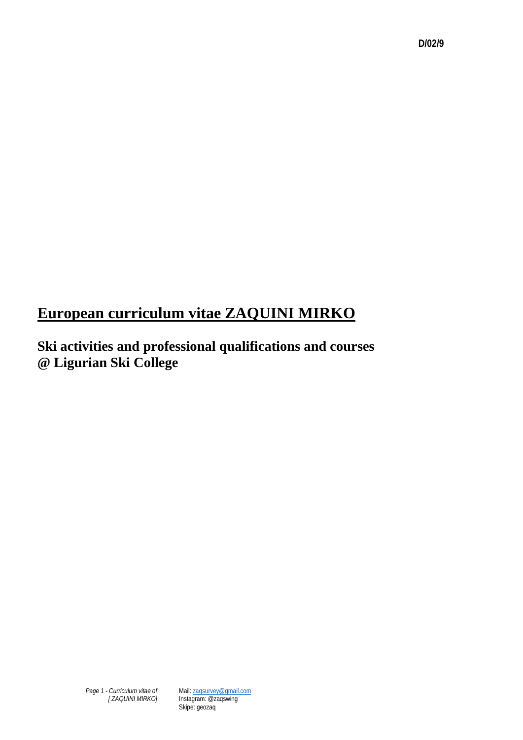# **European curriculum vitae ZAQUINI MIRKO**

**Ski activities and professional qualifications and courses @ Ligurian Ski College**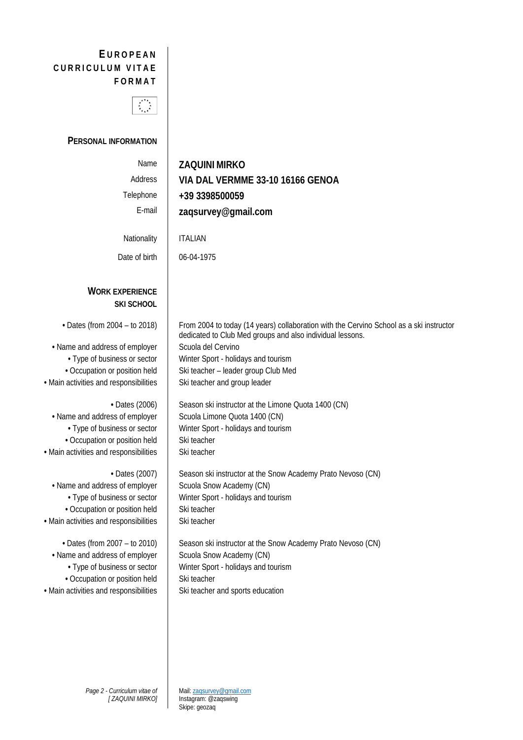# **E UROPEAN CURRICULUM VITAE FORMAT**



### **PERSONAL INFORMATION**

| Name<br>Address<br>Telephone<br>E-mail<br>Nationality                                                                                                                                                                                                                                                                                     | <b>ZAQUINI MIRKO</b><br>VIA DAL VERMME 33-10 16166 GENOA<br>+39 3398500059<br>zaqsurvey@gmail.com<br><b>ITALIAN</b>                                                                                                                                                                                                                                                                                                                                   |
|-------------------------------------------------------------------------------------------------------------------------------------------------------------------------------------------------------------------------------------------------------------------------------------------------------------------------------------------|-------------------------------------------------------------------------------------------------------------------------------------------------------------------------------------------------------------------------------------------------------------------------------------------------------------------------------------------------------------------------------------------------------------------------------------------------------|
| Date of birth                                                                                                                                                                                                                                                                                                                             | 06-04-1975                                                                                                                                                                                                                                                                                                                                                                                                                                            |
| <b>WORK EXPERIENCE</b><br><b>SKI SCHOOL</b>                                                                                                                                                                                                                                                                                               |                                                                                                                                                                                                                                                                                                                                                                                                                                                       |
| • Dates (from 2004 - to 2018)<br>• Name and address of employer<br>• Type of business or sector<br>• Occupation or position held<br>· Main activities and responsibilities<br>• Dates (2006)<br>• Name and address of employer<br>• Type of business or sector<br>• Occupation or position held<br>· Main activities and responsibilities | From 2004 to today (14 years) collaboration with the Cervino School as a ski instructor<br>dedicated to Club Med groups and also individual lessons.<br>Scuola del Cervino<br>Winter Sport - holidays and tourism<br>Ski teacher - leader group Club Med<br>Ski teacher and group leader<br>Season ski instructor at the Limone Quota 1400 (CN)<br>Scuola Limone Quota 1400 (CN)<br>Winter Sport - holidays and tourism<br>Ski teacher<br>Ski teacher |
| • Dates (2007)<br>• Name and address of employer<br>• Type of business or sector<br>• Occupation or position held<br>· Main activities and responsibilities<br>• Dates (from 2007 - to 2010)<br>• Name and address of employer<br>• Type of business or sector<br>• Occupation or position held<br>· Main activities and responsibilities | Season ski instructor at the Snow Academy Prato Nevoso (CN)<br>Scuola Snow Academy (CN)<br>Winter Sport - holidays and tourism<br>Ski teacher<br>Ski teacher<br>Season ski instructor at the Snow Academy Prato Nevoso (CN)<br>Scuola Snow Academy (CN)<br>Winter Sport - holidays and tourism<br>Ski teacher<br>Ski teacher and sports education                                                                                                     |
|                                                                                                                                                                                                                                                                                                                                           |                                                                                                                                                                                                                                                                                                                                                                                                                                                       |

Mail[: zaqsurvey@gmail.com](mailto:zaqsurvey@gmail.com) Instagram: @zaqswing Skipe: geozaq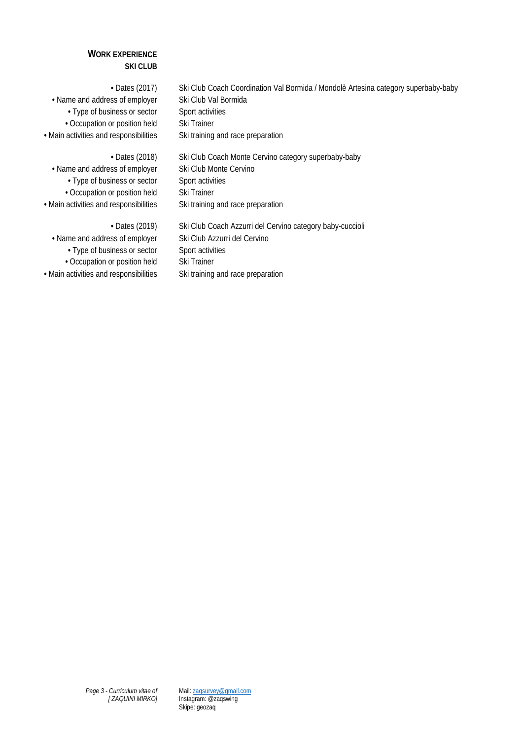#### **WORK EXPERIENCE SKI CLUB**

**•** Name and address of employer Ski Club Val Bormida • Type of business or sector Sport activities • Occupation or position held Ski Trainer

**•** Dates (2017) Ski Club Coach Coordination Val Bormida / Mondolè Artesina category superbaby-baby • Main activities and responsibilities Ski training and race preparation

**•** Name and address of employer Ski Club Monte Cervino • Type of business or sector Sport activities **•** Occupation or position held Ski Trainer

• Dates (2018) Ski Club Coach Monte Cervino category superbaby-baby • Main activities and responsibilities Ski training and race preparation

**•** Name and address of employer Ski Club Azzurri del Cervino • Type of business or sector Sport activities • Occupation or position held Ski Trainer • Main activities and responsibilities Ski training and race preparation

**•** Dates (2019) Ski Club Coach Azzurri del Cervino category baby-cuccioli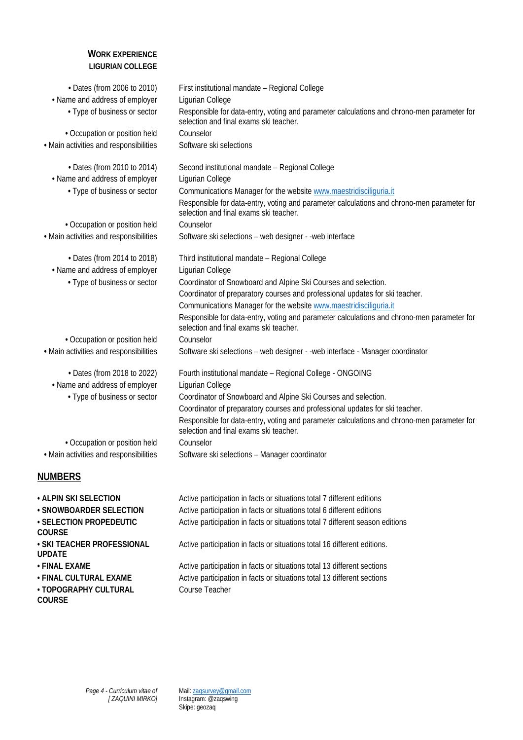#### **WORK EXPERIENCE LIGURIAN COLLEGE**

| • Dates (from 2006 to 2010)                                    | First institutional mandate - Regional College                                                                                                                                                            |
|----------------------------------------------------------------|-----------------------------------------------------------------------------------------------------------------------------------------------------------------------------------------------------------|
| • Name and address of employer<br>• Type of business or sector | Ligurian College<br>Responsible for data-entry, voting and parameter calculations and chrono-men parameter for                                                                                            |
|                                                                | selection and final exams ski teacher.                                                                                                                                                                    |
| • Occupation or position held                                  | Counselor                                                                                                                                                                                                 |
| • Main activities and responsibilities                         | Software ski selections                                                                                                                                                                                   |
| • Dates (from 2010 to 2014)                                    | Second institutional mandate - Regional College                                                                                                                                                           |
| • Name and address of employer                                 | Ligurian College                                                                                                                                                                                          |
| • Type of business or sector                                   | Communications Manager for the website www.maestridisciliguria.it<br>Responsible for data-entry, voting and parameter calculations and chrono-men parameter for<br>selection and final exams ski teacher. |
| • Occupation or position held                                  | Counselor                                                                                                                                                                                                 |
| • Main activities and responsibilities                         | Software ski selections - web designer - - web interface                                                                                                                                                  |
| • Dates (from 2014 to 2018)                                    | Third institutional mandate - Regional College                                                                                                                                                            |
| • Name and address of employer                                 | Ligurian College                                                                                                                                                                                          |
| • Type of business or sector                                   | Coordinator of Snowboard and Alpine Ski Courses and selection.                                                                                                                                            |
|                                                                | Coordinator of preparatory courses and professional updates for ski teacher.                                                                                                                              |
|                                                                | Communications Manager for the website www.maestridisciliguria.it<br>Responsible for data-entry, voting and parameter calculations and chrono-men parameter for                                           |
|                                                                | selection and final exams ski teacher.                                                                                                                                                                    |
| • Occupation or position held                                  | Counselor                                                                                                                                                                                                 |
| • Main activities and responsibilities                         | Software ski selections - web designer - -web interface - Manager coordinator                                                                                                                             |
| • Dates (from 2018 to 2022)                                    | Fourth institutional mandate - Regional College - ONGOING                                                                                                                                                 |
| • Name and address of employer                                 | Ligurian College                                                                                                                                                                                          |
| • Type of business or sector                                   | Coordinator of Snowboard and Alpine Ski Courses and selection.                                                                                                                                            |
|                                                                | Coordinator of preparatory courses and professional updates for ski teacher.<br>Responsible for data-entry, voting and parameter calculations and chrono-men parameter for                                |
|                                                                | selection and final exams ski teacher.                                                                                                                                                                    |
| • Occupation or position held                                  | Counselor                                                                                                                                                                                                 |
| • Main activities and responsibilities                         | Software ski selections - Manager coordinator                                                                                                                                                             |
| <b>NUMBERS</b>                                                 |                                                                                                                                                                                                           |
| . ALPIN SKI SELECTION                                          | Active participation in facts or situations total 7 different editions                                                                                                                                    |
| · SNOWBOARDER SELECTION                                        | Active participation in facts or situations total 6 different editions                                                                                                                                    |
| · SELECTION PROPEDEUTIC<br><b>COURSE</b>                       | Active participation in facts or situations total 7 different season editions                                                                                                                             |
| · SKI TEACHER PROFESSIONAL                                     | Active participation in facts or situations total 16 different editions.                                                                                                                                  |

**• SKI TEACHER PROFESSIONAL UPDATE**

- 
- 

**• TOPOGRAPHY CULTURAL COURSE**

• FINAL EXAME **Active participation in facts or situations total 13 different sections** • FINAL CULTURAL EXAME **Active participation in facts or situations total 13 different sections** Course Teacher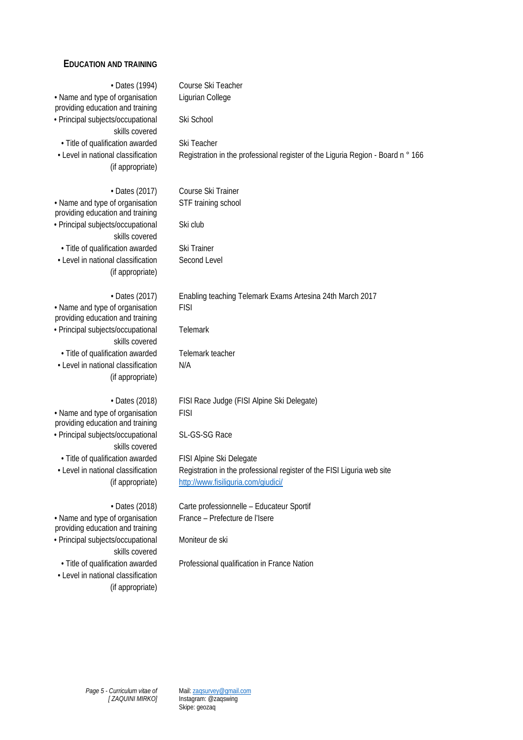## **EDUCATION AND TRAINING**

| • Dates (1994)                                                                             | Course Ski Teacher                                                              |
|--------------------------------------------------------------------------------------------|---------------------------------------------------------------------------------|
| • Name and type of organisation<br>providing education and training                        | Ligurian College                                                                |
| · Principal subjects/occupational<br>skills covered                                        | Ski School                                                                      |
| · Title of qualification awarded                                                           | Ski Teacher                                                                     |
| • Level in national classification                                                         | Registration in the professional register of the Liguria Region - Board n ° 166 |
| (if appropriate)                                                                           |                                                                                 |
| • Dates (2017)                                                                             | Course Ski Trainer                                                              |
| • Name and type of organisation<br>providing education and training                        | STF training school                                                             |
| · Principal subjects/occupational<br>skills covered                                        | Ski club                                                                        |
| · Title of qualification awarded                                                           | Ski Trainer                                                                     |
| • Level in national classification<br>(if appropriate)                                     | Second Level                                                                    |
| • Dates (2017)                                                                             | Enabling teaching Telemark Exams Artesina 24th March 2017                       |
| • Name and type of organisation<br>providing education and training                        | <b>FISI</b>                                                                     |
| · Principal subjects/occupational<br>skills covered                                        | Telemark                                                                        |
| · Title of qualification awarded                                                           | Telemark teacher                                                                |
| • Level in national classification<br>(if appropriate)                                     | N/A                                                                             |
| • Dates (2018)                                                                             | FISI Race Judge (FISI Alpine Ski Delegate)                                      |
| • Name and type of organisation<br>providing education and training                        | <b>FISI</b>                                                                     |
| · Principal subjects/occupational<br>skills covered                                        | SL-GS-SG Race                                                                   |
| · Title of qualification awarded                                                           | FISI Alpine Ski Delegate                                                        |
| • Level in national classification                                                         | Registration in the professional register of the FISI Liguria web site          |
| (if appropriate)                                                                           | http://www.fisiliguria.com/giudici/                                             |
| • Dates (2018)                                                                             | Carte professionnelle - Educateur Sportif                                       |
| · Name and type of organisation<br>providing education and training                        | France – Prefecture de l'Isere                                                  |
| · Principal subjects/occupational<br>skills covered                                        | Moniteur de ski                                                                 |
| · Title of qualification awarded<br>• Level in national classification<br>(if appropriate) | Professional qualification in France Nation                                     |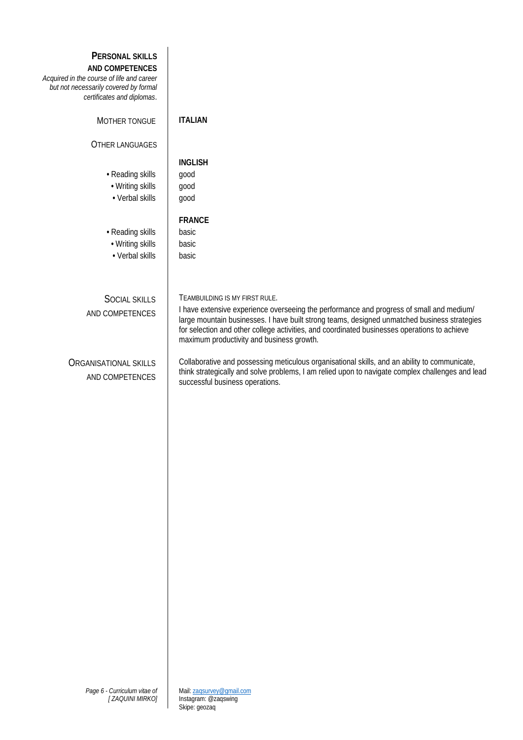| PERSONAL SKILLS<br>AND COMPETENCES<br>Acquired in the course of life and career<br>but not necessarily covered by formal<br>certificates and diplomas. |                                                                                                                                                                                                                                                                                                                                                                         |
|--------------------------------------------------------------------------------------------------------------------------------------------------------|-------------------------------------------------------------------------------------------------------------------------------------------------------------------------------------------------------------------------------------------------------------------------------------------------------------------------------------------------------------------------|
| MOTHER TONGUE                                                                                                                                          | <b>ITALIAN</b>                                                                                                                                                                                                                                                                                                                                                          |
| <b>OTHER LANGUAGES</b>                                                                                                                                 |                                                                                                                                                                                                                                                                                                                                                                         |
| • Reading skills<br>• Writing skills<br>• Verbal skills                                                                                                | <b>INGLISH</b><br>good<br>good<br>good                                                                                                                                                                                                                                                                                                                                  |
| • Reading skills<br>• Writing skills<br>• Verbal skills                                                                                                | <b>FRANCE</b><br>basic<br>basic<br>basic                                                                                                                                                                                                                                                                                                                                |
| <b>SOCIAL SKILLS</b><br>AND COMPETENCES                                                                                                                | TEAMBUILDING IS MY FIRST RULE.<br>I have extensive experience overseeing the performance and progress of small and medium/<br>large mountain businesses. I have built strong teams, designed unmatched business strategies<br>for selection and other college activities, and coordinated businesses operations to achieve<br>maximum productivity and business growth. |
| <b>ORGANISATIONAL SKILLS</b><br>AND COMPETENCES                                                                                                        | Collaborative and possessing meticulous organisational skills, and an ability to communicate,<br>think strategically and solve problems, I am relied upon to navigate complex challenges and lead<br>successful business operations.                                                                                                                                    |
| Page 6 - Curriculum vitae of<br>[ZAQUINI MIRKO]                                                                                                        | Mail: zaqsurvey@qmail.com<br>Instagram: @zaqswing                                                                                                                                                                                                                                                                                                                       |

Skipe: geozaq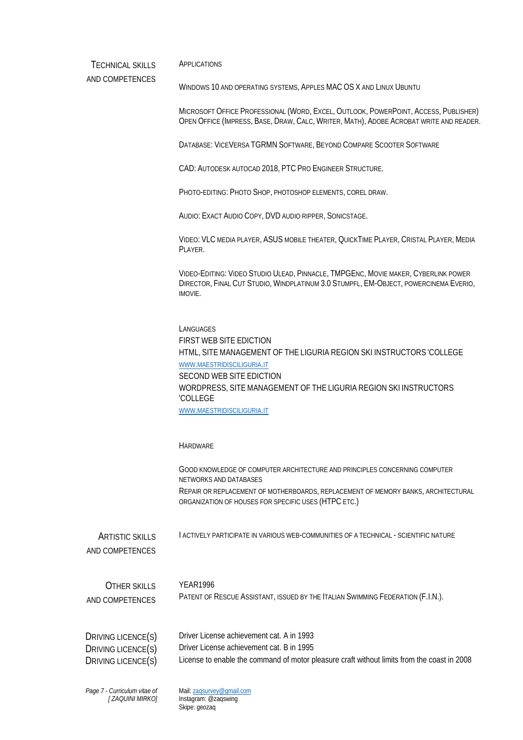TECHNICAL SKILLS APPLICATIONS

AND COMPETENCES

WINDOWS 10 AND OPERATING SYSTEMS, APPLES MAC OS X AND LINUX UBUNTU

MICROSOFT OFFICE PROFESSIONAL (WORD, EXCEL, OUTLOOK, POWERPOINT, ACCESS, PUBLISHER) OPEN OFFICE (IMPRESS, BASE, DRAW, CALC, WRITER, MATH), ADOBE ACROBAT WRITE AND READER.

DATABASE: VICEVERSA TGRMN SOFTWARE, BEYOND COMPARE SCOOTER SOFTWARE

CAD: AUTODESK AUTOCAD 2018, PTC PRO ENGINEER STRUCTURE.

PHOTO-EDITING: PHOTO SHOP, PHOTOSHOP ELEMENTS, COREL DRAW.

AUDIO: EXACT AUDIO COPY, DVD AUDIO RIPPER, SONICSTAGE.

VIDEO: VLC MEDIA PLAYER, ASUS MOBILE THEATER, QUICKTIME PLAYER, CRISTAL PLAYER, MEDIA PLAYER.

VIDEO-EDITING: VIDEO STUDIO ULEAD, PINNACLE, TMPGENC, MOVIE MAKER, CYBERLINK POWER DIRECTOR, FINAL CUT STUDIO, WINDPLATINUM 3.0 STUMPFL, EM-OBJECT, POWERCINEMA EVERIO, IMOVIE.

**LANGUAGES** FIRST WEB SITE EDICTION HTML, SITE MANAGEMENT OF THE LIGURIA REGION SKI INSTRUCTORS 'COLLEGE [WWW.MAESTRIDISCILIGURIA.IT](http://www.maestridisciliguria.it/) SECOND WEB SITE EDICTION WORDPRESS, SITE MANAGEMENT OF THE LIGURIA REGION SKI INSTRUCTORS 'COLLEGE [WWW.MAESTRIDISCILIGURIA.IT](http://www.maestridisciliguria.it/)

HARDWARE

GOOD KNOWLEDGE OF COMPUTER ARCHITECTURE AND PRINCIPLES CONCERNING COMPUTER NETWORKS AND DATABASES REPAIR OR REPLACEMENT OF MOTHERBOARDS, REPLACEMENT OF MEMORY BANKS, ARCHITECTURAL ORGANIZATION OF HOUSES FOR SPECIFIC USES (HTPC ETC.)

ARTISTIC SKILLS I ACTIVELY PARTICIPATE IN VARIOUS WEB-COMMUNITIES OF A TECHNICAL - SCIENTIFIC NATURE

AND COMPETENCES

| OTHER SKILLS    | YFAR1996                                                                        |
|-----------------|---------------------------------------------------------------------------------|
| AND COMPETENCES | PATENT OF RESCUE ASSISTANT, ISSUED BY THE ITALIAN SWIMMING FEDERATION (F.I.N.). |

| DRIVING LICENCE(S) | Driver License achievement cat. A in 1993                                                   |
|--------------------|---------------------------------------------------------------------------------------------|
| DRIVING LICENCE(S) | Driver License achievement cat. B in 1995                                                   |
| DRIVING LICENCE(S) | License to enable the command of motor pleasure craft without limits from the coast in 2008 |

*Page 7 - Curriculum vitae of [ ZAQUINI MIRKO]* Mail[: zaqsurvey@gmail.com](mailto:zaqsurvey@gmail.com) Instagram: @zaqswing Skipe: geozaq